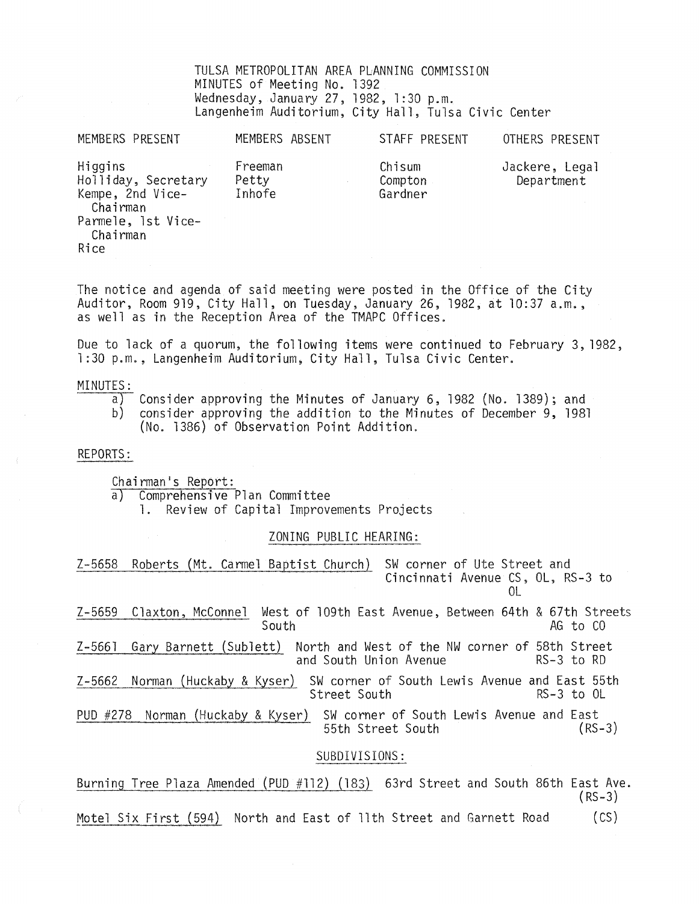TULSA METROPOLITAN AREA PLANNING COMMISSION MINUTES of Meeting No. 1392 Wednesday, January 27, 1982, 1:30 p.m. Langenheim Auditorium, City Hall, Tulsa Civic Center

MEMBERS PRESENT MEMBERS ABSENT STAFF PRESENT OTHERS PRESENT Higgins

Freeman Petty Inhofe

Chisum Compton Gardner

Jackere, Legal Department

Holliday, Secretary Kempe, 2nd Vice-Chairman Parmele, 1st Vice-Chairman Rice

The notice and agenda of said meeting were posted in the Office of the City Auditor, Room 919, City Hall, on Tuesday, January 26, 1982, at 10:37 a.m., as well as in the Reception Area of the TMAPC Offices.

Due to lack of a quorum, the following items were continued to February 3,1982, 1 :30 p.m., Langenheim Auditorium, City Hall, Tulsa Civic Center.

### MINUTES:

- $\overline{a}$ Consider approving the Minutes of January 6, 1982 (No. 1389); and
- b) consider approving the addition to the Minutes of December 9, 1981 (No. 1386) of Observation Point Addition.

### REPORTS:

Chairman's Report:<br>a) Comprehensive

Comprehensive Plan Committee

1. Review of Capital Improvements Projects

### ZONING PUBLIC HEARING:

Z-5658 Roberts (Mt. Carmel Baptist Church) SW corner of Ute Street and Cincinnati Avenue CS, OL, RS-3 to  $\Omega$ Z-5659 Claxton, McConnel West of 109th East Avenue, Between 64th & 67th Streets AG to CO Z-5661 Gary Barnett (Sublett) North and West of the NW corner of 58th Street and South Union Avenue Z-5662 Norman (Huckaby. & Kyser) SW corner of South Lewis Avenue and East 55th Street South PUD #278 Norman (Huckaby & Kyser) SW corner of South Lewis Avenue and East<br>55th Street South (RS-3) 55th Street South

### SUBDIVISIONS:

Burning Tree Plaza Amended (PUD #112) (183) 63rd Street and South 86th East Ave.  $(RS-3)$ 

Motel Six First (594) North and East of 11th Street and Garnett Road (CS)